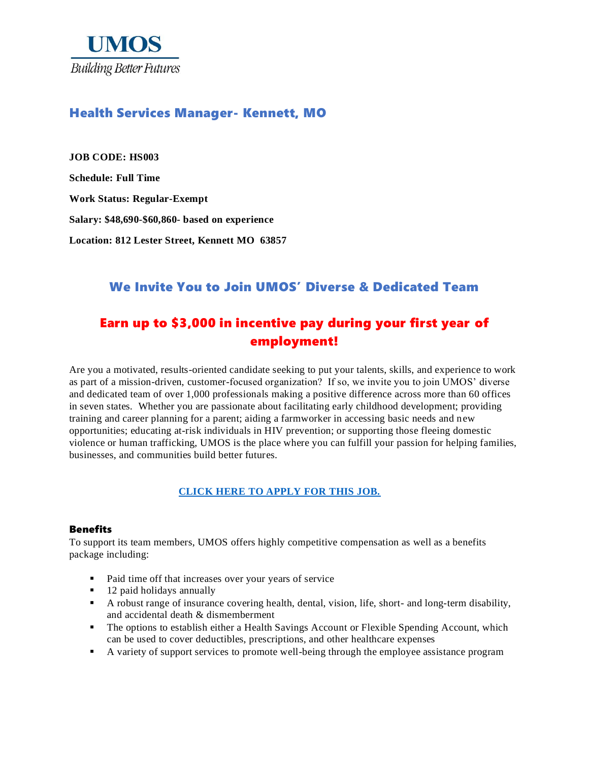

### Health Services Manager- Kennett, MO

**JOB CODE: HS003 Schedule: Full Time Work Status: Regular-Exempt Salary: \$48,690-\$60,860- based on experience Location: 812 Lester Street, Kennett MO 63857**

# We Invite You to Join UMOS' Diverse & Dedicated Team

# Earn up to \$3,000 in incentive pay during your first year of employment!

Are you a motivated, results-oriented candidate seeking to put your talents, skills, and experience to work as part of a mission-driven, customer-focused organization? If so, we invite you to join UMOS' diverse and dedicated team of over 1,000 professionals making a positive difference across more than 60 offices in seven states. Whether you are passionate about facilitating early childhood development; providing training and career planning for a parent; aiding a farmworker in accessing basic needs and new opportunities; educating at-risk individuals in HIV prevention; or supporting those fleeing domestic violence or human trafficking, UMOS is the place where you can fulfill your passion for helping families, businesses, and communities build better futures.

#### **[CLICK HERE TO APPLY FOR THIS JOB.](https://www.umos.org/job-application/)**

#### **Benefits**

To support its team members, UMOS offers highly competitive compensation as well as a benefits package including:

- Paid time off that increases over your years of service
- 12 paid holidays annually
- A robust range of insurance covering health, dental, vision, life, short- and long-term disability, and accidental death & dismemberment
- **•** The options to establish either a Health Savings Account or Flexible Spending Account, which can be used to cover deductibles, prescriptions, and other healthcare expenses
- A variety of support services to promote well-being through the employee assistance program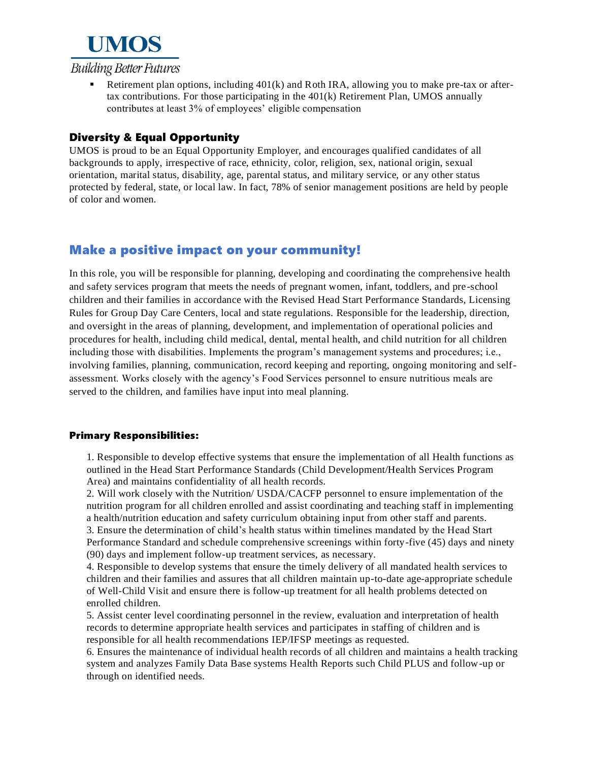

Retirement plan options, including 401(k) and Roth IRA, allowing you to make pre-tax or aftertax contributions. For those participating in the 401(k) Retirement Plan, UMOS annually contributes at least 3% of employees' eligible compensation

#### Diversity & Equal Opportunity

UMOS is proud to be an Equal Opportunity Employer, and encourages qualified candidates of all backgrounds to apply, irrespective of race, ethnicity, color, religion, sex, national origin, sexual orientation, marital status, disability, age, parental status, and military service, or any other status protected by federal, state, or local law. In fact, 78% of senior management positions are held by people of color and women.

# Make a positive impact on your community!

In this role, you will be responsible for planning, developing and coordinating the comprehensive health and safety services program that meets the needs of pregnant women, infant, toddlers, and pre-school children and their families in accordance with the Revised Head Start Performance Standards, Licensing Rules for Group Day Care Centers, local and state regulations. Responsible for the leadership, direction, and oversight in the areas of planning, development, and implementation of operational policies and procedures for health, including child medical, dental, mental health, and child nutrition for all children including those with disabilities. Implements the program's management systems and procedures; i.e., involving families, planning, communication, record keeping and reporting, ongoing monitoring and selfassessment. Works closely with the agency's Food Services personnel to ensure nutritious meals are served to the children, and families have input into meal planning.

#### Primary Responsibilities:

1. Responsible to develop effective systems that ensure the implementation of all Health functions as outlined in the Head Start Performance Standards (Child Development/Health Services Program Area) and maintains confidentiality of all health records.

2. Will work closely with the Nutrition/ USDA/CACFP personnel to ensure implementation of the nutrition program for all children enrolled and assist coordinating and teaching staff in implementing a health/nutrition education and safety curriculum obtaining input from other staff and parents. 3. Ensure the determination of child's health status within timelines mandated by the Head Start Performance Standard and schedule comprehensive screenings within forty-five (45) days and ninety (90) days and implement follow-up treatment services, as necessary.

4. Responsible to develop systems that ensure the timely delivery of all mandated health services to children and their families and assures that all children maintain up-to-date age-appropriate schedule of Well-Child Visit and ensure there is follow-up treatment for all health problems detected on enrolled children.

5. Assist center level coordinating personnel in the review, evaluation and interpretation of health records to determine appropriate health services and participates in staffing of children and is responsible for all health recommendations IEP/IFSP meetings as requested.

6. Ensures the maintenance of individual health records of all children and maintains a health tracking system and analyzes Family Data Base systems Health Reports such Child PLUS and follow-up or through on identified needs.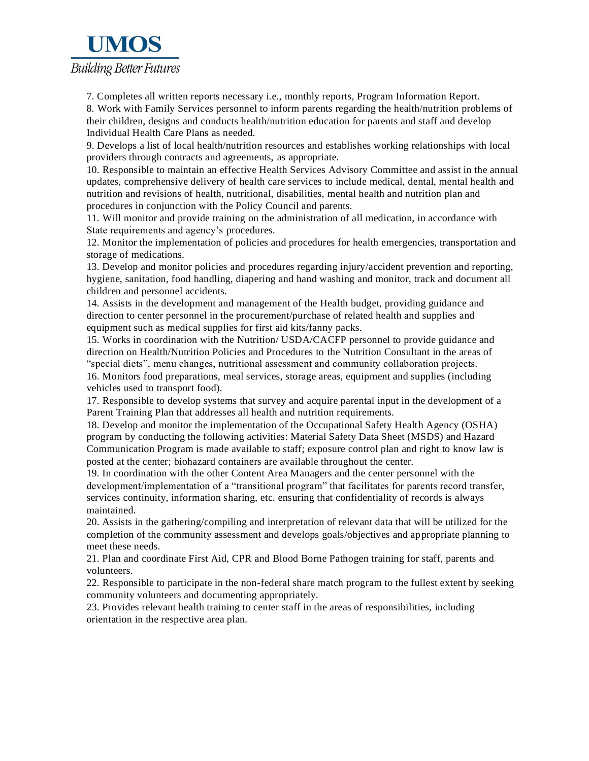# **UMOS Building Better Futures**

7. Completes all written reports necessary i.e., monthly reports, Program Information Report. 8. Work with Family Services personnel to inform parents regarding the health/nutrition problems of their children, designs and conducts health/nutrition education for parents and staff and develop Individual Health Care Plans as needed.

9. Develops a list of local health/nutrition resources and establishes working relationships with local providers through contracts and agreements, as appropriate.

10. Responsible to maintain an effective Health Services Advisory Committee and assist in the annual updates, comprehensive delivery of health care services to include medical, dental, mental health and nutrition and revisions of health, nutritional, disabilities, mental health and nutrition plan and procedures in conjunction with the Policy Council and parents.

11. Will monitor and provide training on the administration of all medication, in accordance with State requirements and agency's procedures.

12. Monitor the implementation of policies and procedures for health emergencies, transportation and storage of medications.

13. Develop and monitor policies and procedures regarding injury/accident prevention and reporting, hygiene, sanitation, food handling, diapering and hand washing and monitor, track and document all children and personnel accidents.

14. Assists in the development and management of the Health budget, providing guidance and direction to center personnel in the procurement/purchase of related health and supplies and equipment such as medical supplies for first aid kits/fanny packs.

15. Works in coordination with the Nutrition/ USDA/CACFP personnel to provide guidance and direction on Health/Nutrition Policies and Procedures to the Nutrition Consultant in the areas of "special diets", menu changes, nutritional assessment and community collaboration projects. 16. Monitors food preparations, meal services, storage areas, equipment and supplies (including vehicles used to transport food).

17. Responsible to develop systems that survey and acquire parental input in the development of a Parent Training Plan that addresses all health and nutrition requirements.

18. Develop and monitor the implementation of the Occupational Safety Health Agency (OSHA) program by conducting the following activities: Material Safety Data Sheet (MSDS) and Hazard Communication Program is made available to staff; exposure control plan and right to know law is posted at the center; biohazard containers are available throughout the center.

19. In coordination with the other Content Area Managers and the center personnel with the development/implementation of a "transitional program" that facilitates for parents record transfer, services continuity, information sharing, etc. ensuring that confidentiality of records is always maintained.

20. Assists in the gathering/compiling and interpretation of relevant data that will be utilized for the completion of the community assessment and develops goals/objectives and appropriate planning to meet these needs.

21. Plan and coordinate First Aid, CPR and Blood Borne Pathogen training for staff, parents and volunteers.

22. Responsible to participate in the non-federal share match program to the fullest extent by seeking community volunteers and documenting appropriately.

23. Provides relevant health training to center staff in the areas of responsibilities, including orientation in the respective area plan.